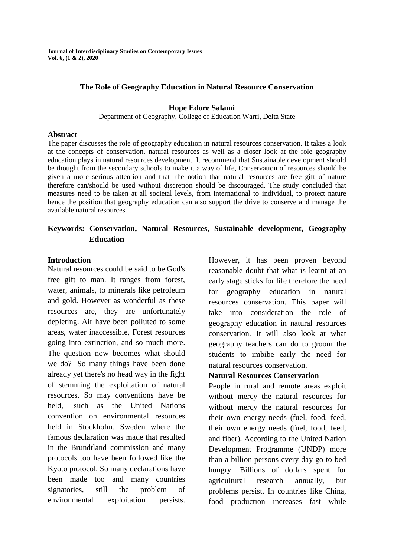## **The Role of Geography Education in Natural Resource Conservation**

#### **Hope Edore Salami**

Department of Geography, College of Education Warri, Delta State

#### **Abstract**

The paper discusses the role of geography education in natural resources conservation. It takes a look at the concepts of conservation, natural resources as well as a closer look at the role geography education plays in natural resources development. It recommend that Sustainable development should be thought from the secondary schools to make it a way of life, Conservation of resources should be given a more serious attention and that the notion that natural resources are free gift of nature therefore can/should be used without discretion should be discouraged. The study concluded that measures need to be taken at all societal levels, from international to individual, to protect nature hence the position that geography education can also support the drive to conserve and manage the available natural resources.

# **Keywords: Conservation, Natural Resources, Sustainable development, Geography Education**

### **Introduction**

Natural resources could be said to be God's free gift to man. It ranges from forest, water, animals, to minerals like petroleum and gold. However as wonderful as these resources are, they are unfortunately depleting. Air have been polluted to some areas, water inaccessible, Forest resources going into extinction, and so much more. The question now becomes what should we do? So many things have been done already yet there's no head way in the fight of stemming the exploitation of natural resources. So may conventions have be held, such as the United Nations convention on environmental resources held in Stockholm, Sweden where the famous declaration was made that resulted in the Brundtland commission and many protocols too have been followed like the Kyoto protocol. So many declarations have been made too and many countries signatories, still the problem of environmental exploitation persists.

However, it has been proven beyond reasonable doubt that what is learnt at an early stage sticks for life therefore the need for geography education in natural resources conservation. This paper will take into consideration the role of geography education in natural resources conservation. It will also look at what geography teachers can do to groom the students to imbibe early the need for natural resources conservation.

# **Natural Resources Conservation**

People in rural and remote areas exploit without mercy the natural resources for without mercy the natural resources for their own energy needs (fuel, food, feed, their own energy needs (fuel, food, feed, and fiber). According to the United Nation Development Programme (UNDP) more than a billion persons every day go to bed hungry. Billions of dollars spent for agricultural research annually, but problems persist. In countries like China, food production increases fast while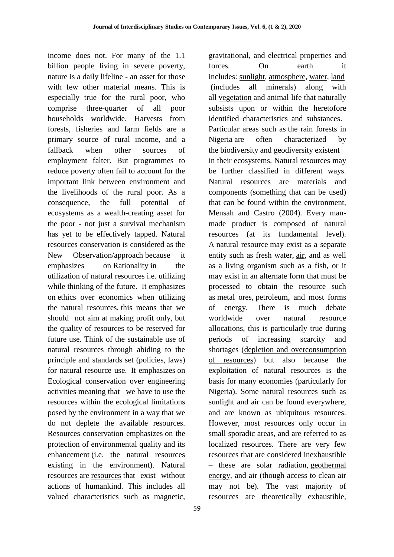income does not. For many of the 1.1 billion people living in severe poverty, nature is a daily lifeline - an asset for those with few other material means. This is especially true for the rural poor, who comprise three-quarter of all poor households worldwide. Harvests from forests, fisheries and farm fields are a primary source of rural income, and a fallback when other sources of employment falter. But programmes to reduce poverty often fail to account for the important link between environment and the livelihoods of the rural poor. As a consequence, the full potential of ecosystems as a wealth-creating asset for the poor - not just a survival mechanism has yet to be effectively tapped. Natural resources conservation is considered as the New Observation/approach because it emphasizes on Rationality in the utilization of natural resources i.e. utilizing while thinking of the future. It emphasizes on ethics over economics when utilizing the natural resources, this means that we should not aim at making profit only, but the quality of resources to be reserved for future use. Think of the sustainable use of natural resources through abiding to the principle and standards set (policies, laws) for natural resource use. It emphasizes on Ecological conservation over engineering activities meaning that we have to use the resources within the ecological limitations posed by the environment in a way that we do not deplete the available resources. Resources conservation emphasizes on the protection of environmental quality and its enhancement (i.e. the natural resources existing in the environment). Natural resources are [resources](https://en.wikipedia.org/wiki/Resource) that exist without actions of humankind. This includes all valued characteristics such as magnetic,

59

gravitational, and electrical properties and forces. On earth it includes: [sunlight,](https://en.wikipedia.org/wiki/Sunlight) [atmosphere,](https://en.wikipedia.org/wiki/Atmosphere) [water,](https://en.wikipedia.org/wiki/Water) [land](https://en.wikipedia.org/wiki/Land) (includes all minerals) along with all [vegetation](https://en.wikipedia.org/wiki/Vegetation) and animal life that naturally subsists upon or within the heretofore identified characteristics and substances. Particular areas such as the rain forests in Nigeria are often characterized by the [biodiversity](https://en.wikipedia.org/wiki/Biodiversity) and [geodiversity](https://en.wikipedia.org/wiki/Geodiversity) existent in their ecosystems. Natural resources may be further classified in different ways. Natural resources are materials and components (something that can be used) that can be found within the environment, Mensah and Castro (2004). Every manmade product is composed of natural resources (at its fundamental level). A natural resource may exist as a separate entity such as fresh water, [air,](https://en.wikipedia.org/wiki/Air) and as well as a living organism such as a fish, or it may exist in an alternate form that must be processed to obtain the resource such as [metal ores,](https://en.wikipedia.org/wiki/Ore) [petroleum,](https://en.wikipedia.org/wiki/Petroleum) and most forms of energy. There is much debate worldwide over natural resource allocations, this is particularly true during periods of increasing scarcity and shortages [\(depletion and overconsumption](https://en.wikipedia.org/wiki/Depletion_of_resources)  [of resources\)](https://en.wikipedia.org/wiki/Depletion_of_resources) but also because the exploitation of natural resources is the basis for many economies (particularly for Nigeria). Some natural resources such as sunlight and air can be found everywhere, and are known as ubiquitous resources. However, most resources only occur in small sporadic areas, and are referred to as localized resources. There are very few resources that are considered inexhaustible – these are solar radiation, [geothermal](https://en.wikipedia.org/wiki/Geothermal_energy)  [energy,](https://en.wikipedia.org/wiki/Geothermal_energy) and air (though access to clean air may not be). The vast majority of resources are theoretically exhaustible,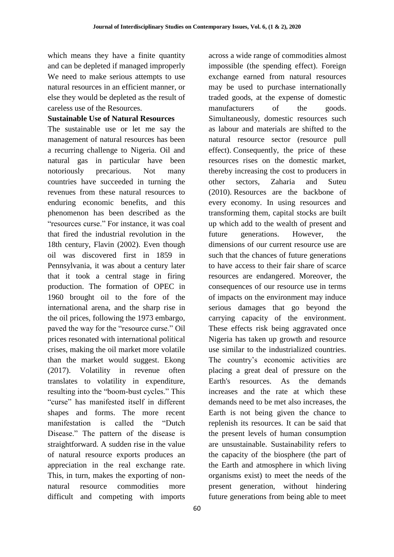which means they have a finite quantity and can be depleted if managed improperly We need to make serious attempts to use natural resources in an efficient manner, or else they would be depleted as the result of careless use of the Resources.

## **Sustainable Use of Natural Resources**

The sustainable use or let me say the management of natural resources has been a recurring challenge to Nigeria. Oil and natural gas in particular have been notoriously precarious. Not many countries have succeeded in turning the revenues from these natural resources to enduring economic benefits, and this phenomenon has been described as the "resources curse." For instance, it was coal that fired the industrial revolution in the 18th century, Flavin (2002). Even though oil was discovered first in 1859 in Pennsylvania, it was about a century later that it took a central stage in firing production. The formation of OPEC in 1960 brought oil to the fore of the international arena, and the sharp rise in the oil prices, following the 1973 embargo, paved the way for the "resource curse." Oil prices resonated with international political crises, making the oil market more volatile than the market would suggest. Ekong (2017). Volatility in revenue often translates to volatility in expenditure, resulting into the "boom-bust cycles." This "curse" has manifested itself in different shapes and forms. The more recent manifestation is called the "Dutch Disease." The pattern of the disease is straightforward. A sudden rise in the value of natural resource exports produces an appreciation in the real exchange rate. This, in turn, makes the exporting of nonnatural resource commodities more difficult and competing with imports

60

across a wide range of commodities almost impossible (the spending effect). Foreign exchange earned from natural resources may be used to purchase internationally traded goods, at the expense of domestic manufacturers of the goods. Simultaneously, domestic resources such as labour and materials are shifted to the natural resource sector (resource pull effect). Consequently, the price of these resources rises on the domestic market, thereby increasing the cost to producers in other sectors, Zaharia and Suteu (2010). Resources are the backbone of every economy. In using resources and transforming them, capital stocks are built up which add to the wealth of present and future generations. However, the dimensions of our current resource use are such that the chances of future generations to have access to their fair share of scarce resources are endangered. Moreover, the consequences of our resource use in terms of impacts on the environment may induce serious damages that go beyond the carrying capacity of the environment. These effects risk being aggravated once Nigeria has taken up growth and resource use similar to the industrialized countries. The country's economic activities are placing a great deal of pressure on the Earth's resources. As the demands increases and the rate at which these demands need to be met also increases, the Earth is not being given the chance to replenish its resources. It can be said that the present levels of human consumption are unsustainable. Sustainability refers to the capacity of the biosphere (the part of the Earth and atmosphere in which living organisms exist) to meet the needs of the present generation, without hindering future generations from being able to meet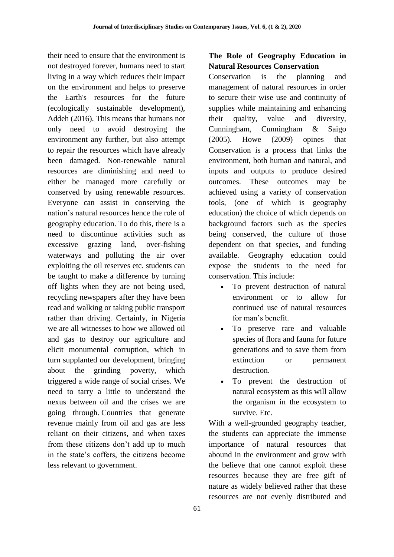their need to ensure that the environment is not destroyed forever, humans need to start living in a way which reduces their impact on the environment and helps to preserve the Earth's resources for the future (ecologically sustainable development), Addeh (2016). This means that humans not only need to avoid destroying the environment any further, but also attempt to repair the resources which have already been damaged. Non-renewable natural resources are diminishing and need to either be managed more carefully or conserved by using renewable resources. Everyone can assist in conserving the nation's natural resources hence the role of geography education. To do this, there is a need to discontinue activities such as excessive grazing land, over-fishing waterways and polluting the air over exploiting the oil reserves etc. students can be taught to make a difference by turning off lights when they are not being used, recycling newspapers after they have been read and walking or taking public transport rather than driving. Certainly, in Nigeria we are all witnesses to how we allowed oil and gas to destroy our agriculture and elicit monumental corruption, which in turn supplanted our development, bringing about the grinding poverty, which triggered a wide range of social crises. We need to tarry a little to understand the nexus between oil and the crises we are going through. Countries that generate revenue mainly from oil and gas are less reliant on their citizens, and when taxes from these citizens don't add up to much in the state's coffers, the citizens become less relevant to government.

# **The Role of Geography Education in Natural Resources Conservation**

Conservation is the planning and management of natural resources in order to secure their wise use and continuity of supplies while maintaining and enhancing their quality, value and diversity, Cunningham, Cunningham & Saigo (2005). Howe (2009) opines that Conservation is a process that links the environment, both human and natural, and inputs and outputs to produce desired outcomes. These outcomes may be achieved using a variety of conservation tools, (one of which is geography education) the choice of which depends on background factors such as the species being conserved, the culture of those dependent on that species, and funding available. Geography education could expose the students to the need for conservation. This include:

- To prevent destruction of natural environment or to allow for continued use of natural resources for man's benefit.
- To preserve rare and valuable species of flora and fauna for future generations and to save them from extinction or permanent destruction.
- To prevent the destruction of natural ecosystem as this will allow the organism in the ecosystem to survive. Etc.

With a well-grounded geography teacher, the students can appreciate the immense importance of natural resources that abound in the environment and grow with the believe that one cannot exploit these resources because they are free gift of nature as widely believed rather that these resources are not evenly distributed and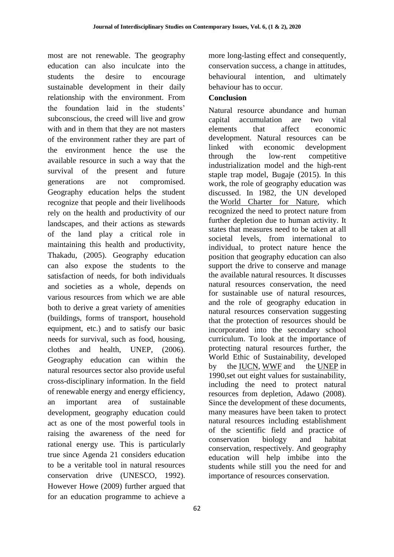most are not renewable. The geography education can also inculcate into the students the desire to encourage sustainable development in their daily relationship with the environment. From the foundation laid in the students' subconscious, the creed will live and grow with and in them that they are not masters of the environment rather they are part of the environment hence the use the available resource in such a way that the survival of the present and future generations are not compromised. Geography education helps the student recognize that people and their livelihoods rely on the health and productivity of our landscapes, and their actions as stewards of the land play a critical role in maintaining this health and productivity, Thakadu, (2005). Geography education can also expose the students to the satisfaction of needs, for both individuals and societies as a whole, depends on various resources from which we are able both to derive a great variety of amenities (buildings, forms of transport, household equipment, etc.) and to satisfy our basic needs for survival, such as food, housing, clothes and health, UNEP, (2006). Geography education can within the natural resources sector also provide useful cross-disciplinary information. In the field of renewable energy and energy efficiency, an important area of sustainable development, geography education could act as one of the most powerful tools in raising the awareness of the need for rational energy use. This is particularly true since Agenda 21 considers education to be a veritable tool in natural resources conservation drive (UNESCO, 1992). However Howe (2009) further argued that for an education programme to achieve a more long-lasting effect and consequently, conservation success, a change in attitudes, behavioural intention, and ultimately behaviour has to occur.

## **Conclusion**

Natural resource abundance and human capital accumulation are two vital elements that affect economic development. Natural resources can be linked with economic development through the low-rent competitive industrialization model and the high-rent staple trap model, Bugaje (2015). In this work, the role of geography education was discussed. In 1982, the UN developed the [World Charter for Nature,](https://en.wikipedia.org/wiki/World_Charter_for_Nature) which recognized the need to protect nature from further depletion due to human activity. It states that measures need to be taken at all societal levels, from international to individual, to protect nature hence the position that geography education can also support the drive to conserve and manage the available natural resources. It discusses natural resources conservation, the need for sustainable use of natural resources, and the role of geography education in natural resources conservation suggesting that the protection of resources should be incorporated into the secondary school curriculum. To look at the importance of protecting natural resources further, the World Ethic of Sustainability, developed by the [IUCN,](https://en.wikipedia.org/wiki/IUCN) [WWF](https://en.wikipedia.org/wiki/World_Wide_Fund_for_Nature) and the [UNEP](https://en.wikipedia.org/wiki/UNEP) in 1990,set out eight values for sustainability, including the need to protect natural resources from depletion, Adawo (2008). Since the development of these documents, many measures have been taken to protect natural resources including establishment of the scientific field and practice of conservation biology and habitat conservation, respectively. And geography education will help imbibe into the students while still you the need for and importance of resources conservation.